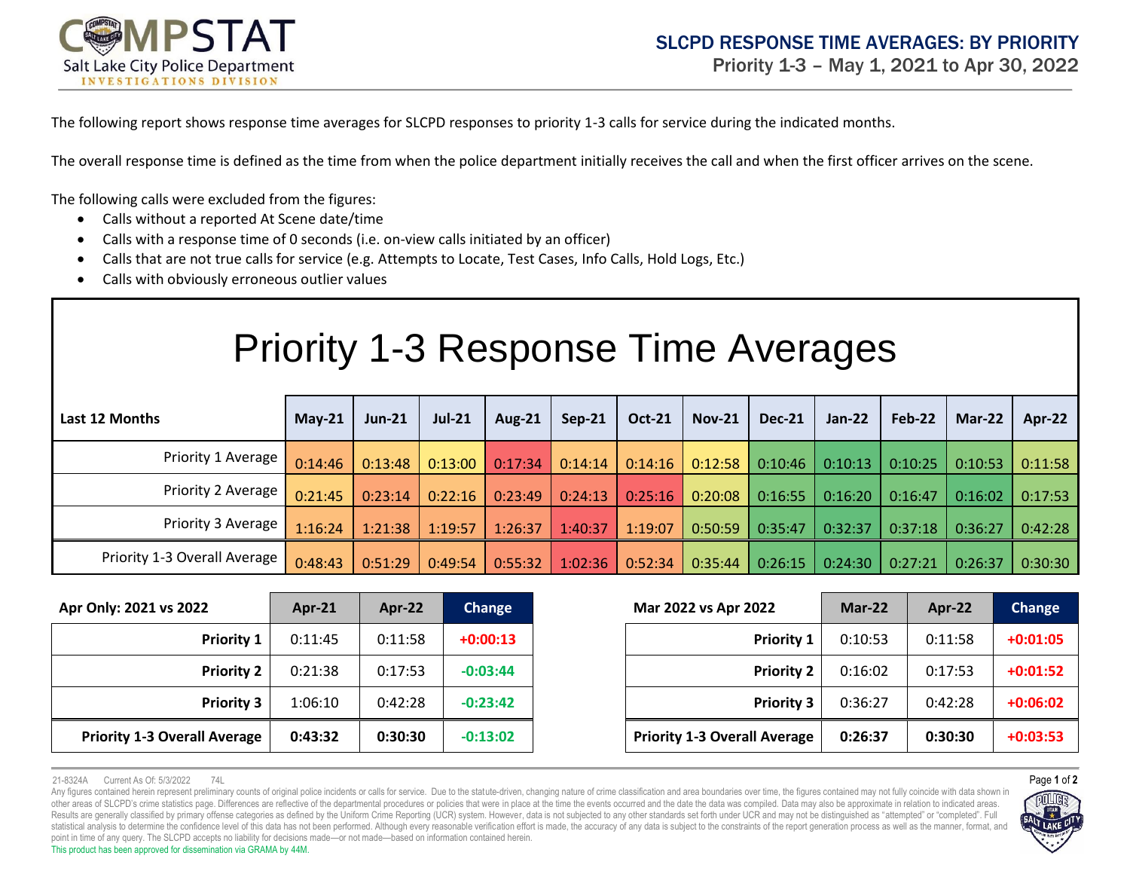

The following report shows response time averages for SLCPD responses to priority 1-3 calls for service during the indicated months.

The overall response time is defined as the time from when the police department initially receives the call and when the first officer arrives on the scene.

The following calls were excluded from the figures:

- Calls without a reported At Scene date/time
- Calls with a response time of 0 seconds (i.e. on-view calls initiated by an officer)
- Calls that are not true calls for service (e.g. Attempts to Locate, Test Cases, Info Calls, Hold Logs, Etc.)
- Calls with obviously erroneous outlier values

| <b>Priority 1-3 Response Time Averages</b> |          |          |               |               |         |               |               |               |          |         |          |         |
|--------------------------------------------|----------|----------|---------------|---------------|---------|---------------|---------------|---------------|----------|---------|----------|---------|
| Last 12 Months                             | $May-21$ | $Jun-21$ | <b>Jul-21</b> | <b>Aug-21</b> | Sep-21  | <b>Oct-21</b> | <b>Nov-21</b> | <b>Dec-21</b> | $Jan-22$ | Feb-22  | $Mar-22$ | Apr-22  |
| Priority 1 Average                         | 0:14:46  | 0:13:48  | 0:13:00       | 0:17:34       | 0:14:14 | 0:14:16       | 0:12:58       | 0:10:46       | 0:10:13  | 0:10:25 | 0:10:53  | 0:11:58 |
| Priority 2 Average                         | 0:21:45  | 0:23:14  | 0:22:16       | 0:23:49       | 0:24:13 | 0:25:16       | 0:20:08       | 0:16:55       | 0:16:20  | 0:16:47 | 0:16:02  | 0:17:53 |
| Priority 3 Average                         | 1:16:24  | 1:21:38  | 1:19:57       | 1:26:37       | 1:40:37 | 1:19:07       | 0:50:59       | 0:35:47       | 0:32:37  | 0:37:18 | 0:36:27  | 0:42:28 |
| Priority 1-3 Overall Average               | 0:48:43  | 0:51:29  | 0:49:54       | 0:55:32       | 1:02:36 | 0:52:34       | 0:35:44       | 0:26:15       | 0:24:30  | 0:27:21 | 0:26:37  | 0:30:30 |

| Apr Only: 2021 vs 2022              | Apr- $21$ | Apr-22  | Change     | Mar 2022 vs Apr 2022 |                                     | $Mar-22$ | Apr-22  | Change     |
|-------------------------------------|-----------|---------|------------|----------------------|-------------------------------------|----------|---------|------------|
| <b>Priority 1</b>                   | 0:11:45   | 0:11:58 | $+0:00:13$ |                      | <b>Priority 1</b>                   | 0:10:53  | 0:11:58 | $+0:01:05$ |
| <b>Priority 2</b>                   | 0:21:38   | 0:17:53 | $-0:03:44$ |                      | <b>Priority 2</b>                   | 0:16:02  | 0:17:53 | $+0:01:52$ |
| <b>Priority 3</b>                   | 1:06:10   | 0:42:28 | $-0:23:42$ |                      | <b>Priority 3</b>                   | 0:36:27  | 0:42:28 | $+0:06:02$ |
| <b>Priority 1-3 Overall Average</b> | 0:43:32   | 0:30:30 | $-0:13:02$ |                      | <b>Priority 1-3 Overall Average</b> | 0:26:37  | 0:30:30 | $+0:03:53$ |

|                   | $Apr-21$ | Apr-22  | Change     | Mar 2022 vs Apr 2022 |                                     | $Mar-22$ | Apr-22  | <b>Change</b> |
|-------------------|----------|---------|------------|----------------------|-------------------------------------|----------|---------|---------------|
| <b>Priority 1</b> | 0:11:45  | 0:11:58 | $+0:00:13$ |                      | <b>Priority 1</b>                   | 0:10:53  | 0:11:58 | $+0:01:05$    |
| <b>Priority 2</b> | 0:21:38  | 0:17:53 | $-0:03:44$ |                      | <b>Priority 2</b>                   | 0:16:02  | 0:17:53 | $+0:01:52$    |
| <b>Priority 3</b> | 1:06:10  | 0:42:28 | $-0:23:42$ |                      | <b>Priority 3</b>                   | 0:36:27  | 0:42:28 | $+0:06:02$    |
| Average           | 0:43:32  | 0:30:30 | $-0:13:02$ |                      | <b>Priority 1-3 Overall Average</b> | 0:26:37  | 0:30:30 | $+0:03:53$    |

21-8324A Current As Of: 5/3/2022 74L Page **1** of **2**

Any figures contained herein represent preliminary counts of original police incidents or calls for service. Due to the statute-driven, changing nature of crime classification and area boundaries over time, the figures con other areas of SLCPD's crime statistics page. Differences are reflective of the departmental procedures or policies that were in place at the time the events occurred and the date the data was compiled. Data may also be ap Results are generally classified by primary offense categories as defined by the Uniform Crime Reporting (UCR) system. However, data is not subjected to any other standards set forth under UCR and may not be distinguished statistical analysis to determine the confidence level of this data has not been performed. Although every reasonable verification effort is made, the accuracy of any data is subject to the constraints of the report genera point in time of any query. The SLCPD accepts no liability for decisions made—or not made—based on information contained herein. This product has been approved for dissemination via GRAMA by 44M.